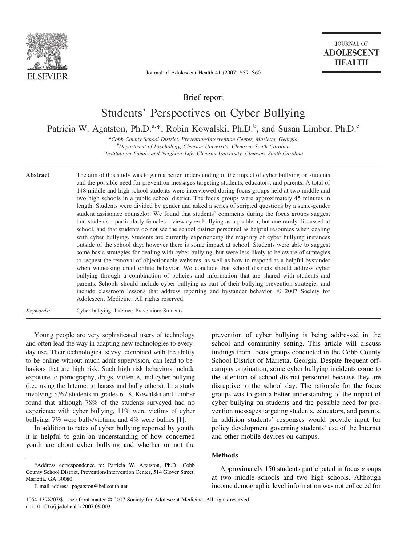

**JOURNAL OF ADOLESCENT HEALTH** 

Journal of Adolescent Health 41 (2007) S59–S60

Brief report

# Students' Perspectives on Cyber Bullying

Patricia W. Agatston, Ph.D.<sup>a,\*</sup>, Robin Kowalski, Ph.D.<sup>b</sup>, and Susan Limber, Ph.D.<sup>c</sup>

*a Cobb County School District, Prevention/Intervention Center, Marietta, Georgia b Department of Psychology, Clemson University, Clemson, South Carolina c Institute on Family and Neighbor Life, Clemson University, Clemson, South Carolina*

**Abstract** The aim of this study was to gain a better understanding of the impact of cyber bullying on students and the possible need for prevention messages targeting students, educators, and parents. A total of 148 middle and high school students were interviewed during focus groups held at two middle and two high schools in a public school district. The focus groups were approximately 45 minutes in length. Students were divided by gender and asked a series of scripted questions by a same-gender student assistance counselor. We found that students' comments during the focus groups suggest that students—particularly females—view cyber bullying as a problem, but one rarely discussed at school, and that students do not see the school district personnel as helpful resources when dealing with cyber bullying. Students are currently experiencing the majority of cyber bullying instances outside of the school day; however there is some impact at school. Students were able to suggest some basic strategies for dealing with cyber bullying, but were less likely to be aware of strategies to request the removal of objectionable websites, as well as how to respond as a helpful bystander when witnessing cruel online behavior. We conclude that school districts should address cyber bullying through a combination of policies and information that are shared with students and parents. Schools should include cyber bullying as part of their bullying prevention strategies and include classroom lessons that address reporting and bystander behavior. © 2007 Society for Adolescent Medicine. All rights reserved.

*Keywords:* Cyber bullying; Internet; Prevention; Students

Young people are very sophisticated users of technology and often lead the way in adapting new technologies to everyday use. Their technological savvy, combined with the ability to be online without much adult supervision, can lead to behaviors that are high risk. Such high risk behaviors include exposure to pornography, drugs, violence, and cyber bullying (i.e., using the Internet to harass and bully others). In a study involving 3767 students in grades 6–8, Kowalski and Limber found that although 78% of the students surveyed had no experience with cyber bullying, 11% were victims of cyber bullying, 7% were bully/victims, and 4% were bullies [\[1\].](#page-1-0)

In addition to rates of cyber bullying reported by youth, it is helpful to gain an understanding of how concerned youth are about cyber bullying and whether or not the

prevention of cyber bullying is being addressed in the school and community setting. This article will discuss findings from focus groups conducted in the Cobb County School District of Marietta, Georgia. Despite frequent offcampus origination, some cyber bullying incidents come to the attention of school district personnel because they are disruptive to the school day. The rationale for the focus groups was to gain a better understanding of the impact of cyber bullying on students and the possible need for prevention messages targeting students, educators, and parents. In addition students' responses would provide input for policy development governing students' use of the Internet and other mobile devices on campus.

#### **Methods**

Approximately 150 students participated in focus groups at two middle schools and two high schools. Although income demographic level information was not collected for

<sup>\*</sup>Address correspondence to: Patricia W. Agatston, Ph.D., Cobb County School District, Prevention/Intervention Center, 514 Glover Street, Marietta, GA 30080.

E-mail address: pagatston@bellsouth.net

<sup>1054-139</sup>X/07/\$ – see front matter © 2007 Society for Adolescent Medicine. All rights reserved. doi:10.1016/j.jadohealth.2007.09.003